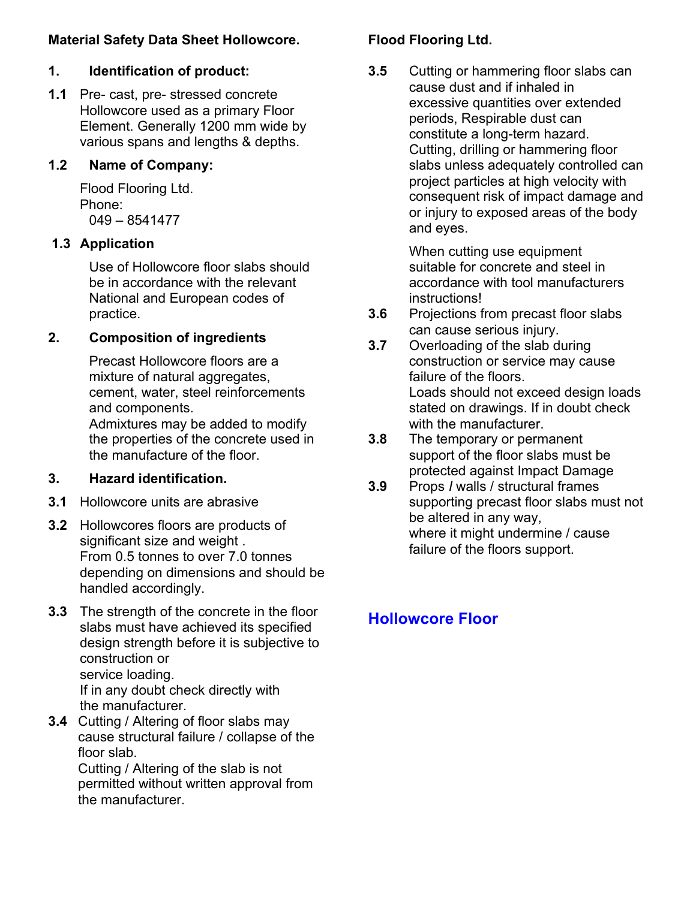## **Material Safety Data Sheet Hollowcore.**

# **1. Identification of product:**

**1.1** Pre- cast, pre- stressed concrete Hollowcore used as a primary Floor Element. Generally 1200 mm wide by various spans and lengths & depths.

## **1.2 Name of Company:**

Flood Flooring Ltd. Phone: 049 – 8541477

## **1.3 Application**

Use of Hollowcore floor slabs should be in accordance with the relevant National and European codes of practice.

## **2. Composition of ingredients**

Precast Hollowcore floors are a mixture of natural aggregates, cement, water, steel reinforcements and components. Admixtures may be added to modify the properties of the concrete used in the manufacture of the floor.

## **3. Hazard identification.**

- **3.1** Hollowcore units are abrasive
- **3.2** Hollowcores floors are products of significant size and weight . From 0.5 tonnes to over 7.0 tonnes depending on dimensions and should be handled accordingly.
- **3.3** The strength of the concrete in the floor slabs must have achieved its specified design strength before it is subjective to construction or service loading. If in any doubt check directly with the manufacturer.
- **3.4** Cutting / Altering of floor slabs may cause structural failure / collapse of the floor slab.

Cutting / Altering of the slab is not permitted without written approval from the manufacturer.

## **Flood Flooring Ltd.**

**3.5** Cutting or hammering floor slabs can cause dust and if inhaled in excessive quantities over extended periods, Respirable dust can constitute a long-term hazard. Cutting, drilling or hammering floor slabs unless adequately controlled can project particles at high velocity with consequent risk of impact damage and or injury to exposed areas of the body and eyes.

> When cutting use equipment suitable for concrete and steel in accordance with tool manufacturers instructions!

- **3.6** Projections from precast floor slabs can cause serious injury.
- **3.7** Overloading of the slab during construction or service may cause failure of the floors. Loads should not exceed design loads stated on drawings. If in doubt check with the manufacturer.
- **3.8** The temporary or permanent support of the floor slabs must be protected against Impact Damage
- **3.9** Props *I* walls / structural frames supporting precast floor slabs must not be altered in any way, where it might undermine / cause failure of the floors support.

# **Hollowcore Floor**